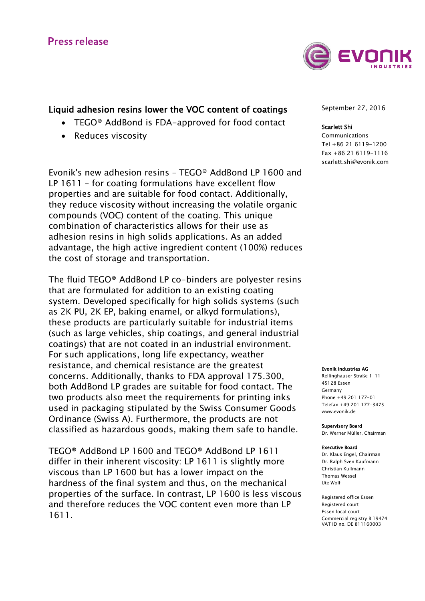

# Liquid adhesion resins lower the VOC content of coatings

- TEGO® AddBond is FDA-approved for food contact
- Reduces viscosity

Evonik's new adhesion resins – TEGO® AddBond LP 1600 and LP 1611 – for coating formulations have excellent flow properties and are suitable for food contact. Additionally, they reduce viscosity without increasing the volatile organic compounds (VOC) content of the coating. This unique combination of characteristics allows for their use as adhesion resins in high solids applications. As an added advantage, the high active ingredient content (100%) reduces the cost of storage and transportation.

The fluid TEGO® AddBond LP co-binders are polyester resins that are formulated for addition to an existing coating system. Developed specifically for high solids systems (such as 2K PU, 2K EP, baking enamel, or alkyd formulations), these products are particularly suitable for industrial items (such as large vehicles, ship coatings, and general industrial coatings) that are not coated in an industrial environment. For such applications, long life expectancy, weather resistance, and chemical resistance are the greatest concerns. Additionally, thanks to FDA approval 175.300, both AddBond LP grades are suitable for food contact. The two products also meet the requirements for printing inks used in packaging stipulated by the Swiss Consumer Goods Ordinance (Swiss A). Furthermore, the products are not classified as hazardous goods, making them safe to handle.

TEGO® AddBond LP 1600 and TEGO® AddBond LP 1611 differ in their inherent viscosity: LP 1611 is slightly more viscous than LP 1600 but has a lower impact on the hardness of the final system and thus, on the mechanical properties of the surface. In contrast, LP 1600 is less viscous and therefore reduces the VOC content even more than LP 1611.

September 27, 2016

## Scarlett Shi

Communications Tel +86 21 6119-1200 Fax +86 21 6119-1116 [scarlett.shi@evonik.com](mailto:scarlett.shi@evonik.com)

#### Evonik Industries AG

Rellinghauser Straße 1-11 45128 Essen Germany Phone +49 201 177-01 Telefax +49 201 177-3475 www.evonik.de

Supervisory Board Dr. Werner Müller, Chairman

#### Executive Board

Dr. Klaus Engel, Chairman Dr. Ralph Sven Kaufmann Christian Kullmann Thomas Wessel Ute Wolf

Registered office Essen Registered court Essen local court Commercial registry B 19474 VAT ID no. DE 811160003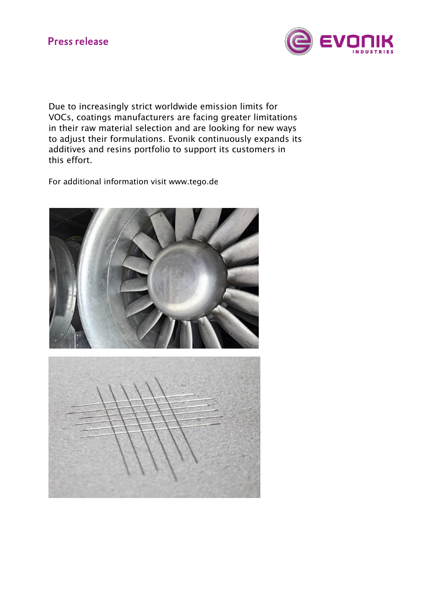

Due to increasingly strict worldwide emission limits for VOCs, coatings manufacturers are facing greater limitations in their raw material selection and are looking for new ways to adjust their formulations. Evonik continuously expands its additives and resins portfolio to support its customers in this effort.

For additional information visit www.tego.de